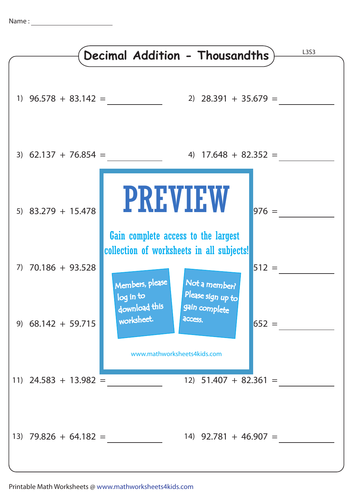